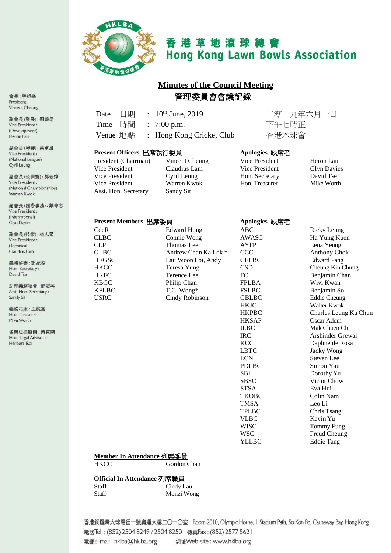

# 香港草地滾球總會 **Hong Kong Lawn Bowls Association**

# **Minutes of the Council Meeting** 管理委員會會議記錄

Date 日期 : 10th June, 2019 二零一九年六月十日 Time 時間 : 7:00 p.m. 下午七時正 Venue 地點 : Hong Kong Cricket Club 香港木球會

#### **Present Officers** 出席執行委員 **Apologies** 缺席者

| President (Chairman) |  |
|----------------------|--|
| Vice President       |  |
| Vice President       |  |
| Vice President       |  |
| Asst. Hon. Secretary |  |

Vincent Cheung Vice President Heron Lau<br>
Claudius Lam Vice President Glyn Davies Claudius Lam Vice President Glyn David Cyril Leung Hon. Secretary David Tse Warren Kwok Sandy Sit

Hon. Secretary David Tse<br>
Hon. Treasurer Mike Worth

#### **Present Members** 出席委員 **Apologies** 缺席者

| CdeR         |
|--------------|
| CLBC         |
| CL P         |
| GL BC        |
| <b>HEGSC</b> |
| <b>HKCC</b>  |
| <b>HKFC</b>  |
| KBGC         |
| <b>KFLBC</b> |
| USRC         |

Sandy Sit 義務司庫: 干鋭富 Hon. Treasurer: Mike Worth

名譽法律顧問:蔡克剛 Hon. Legal Advisor : Herbert Tsoi

CdeR Edward Hung ABC Ricky Leung Thomas Lee **AYFP** Lena Yeung Andrew Chan Ka Lok \* CCC Anthony Chok Lau Woon Loi, Andy CELBC Edward Pang Teresa Yung CSD Cheung Kin Chung Terence Lee  $FC$  Benjamin Chan<br>
Philip Chan<br>
FPLBA Wivi Kwan Philip Chan FPLBA Wivi Kwan<br>T.C. Wong\* FSLBC Benjamin So T.C. Wong\* FSLBC Benjamin So<br>
Cindy Robinson GBLBC Eddie Cheung Cindy Robinson

STSA Eva Hui TMSA Leo Li VLBC Kevin Yu

AWASG Ha Yung Kuen HKJC Walter Kwok<br>HKPBC Charles Leun HKPBC Charles Leung Ka Chun Oscar Adem ILBC Mak Chuen Chi<br>IRC Arshinder Grev Arshinder Grewal KCC Daphne de Rosa LBTC Jacky Wong LCN<br>
PDLBC<br>
Simon Yau Simon Yau SBI Dorothy Yu SBSC Victor Chow TKOBC Colin Nam TPLBC Chris Tsang WISC Tommy Fung WSC Freud Cheung<br>YLLBC Eddie Tang Eddie Tang

### **Member In Attendance** 列席委員

HKCC Gordon Chan

**Official In Attendance** 列席職員

Staff Cindy Lau Staff Monzi Wong

香港銅鑼灣大球場徑一號奧運大樓二〇一〇室 Room 2010, Olympic House, I Stadium Path, So Kon Po, Causeway Bay, Hong Kong 電話Tel: (852) 2504 8249 / 2504 8250 傳真Fax: (852) 2577 5621 電郵E-mail: hklba@hklba.org 網址Web-site: www.hklba.org

會長:張旭峯 President: Vincent Cheung

副會長(發展):劉曉昂 Vice President: (Development) Heron Lau

副會長(聯賽):梁卓雄 Vice President : (National League) Cyril Leung

副會長(公開賽): 郭新煒 Vice President : (National Championships) Warren Kwok

副會長(國際事務):戴偉志 Vice President : (International) Glyn Davies

副會長(技術):林志堅 Vice President : (Technical) Claudius Lam

助理義務秘書:薛冠美 Asst. Hon. Secretary :

義務秘書:謝紀發 Hon. Secretary: David Tse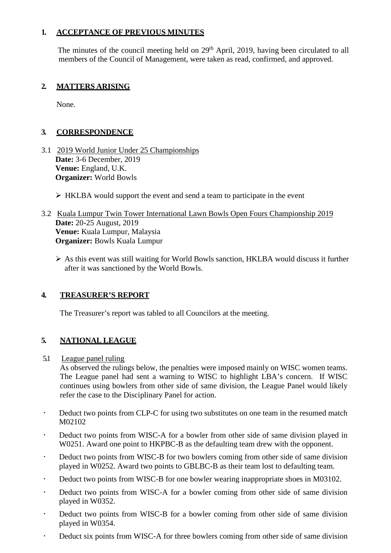## **1. ACCEPTANCE OF PREVIOUS MINUTES**

The minutes of the council meeting held on 29<sup>th</sup> April, 2019, having been circulated to all members of the Council of Management, were taken as read, confirmed, and approved.

## **2. MATTERS ARISING**

None.

## **3. CORRESPONDENCE**

- 3.1 2019 World Junior Under 25 Championships **Date:** 3-6 December, 2019 **Venue:** England, U.K. **Organizer:** World Bowls
	- $\triangleright$  HKLBA would support the event and send a team to participate in the event
- 3.2 Kuala Lumpur Twin Tower International Lawn Bowls Open Fours Championship 2019 **Date:** 20-25 August, 2019 **Venue:** Kuala Lumpur, Malaysia **Organizer:** Bowls Kuala Lumpur
	- $\triangleright$  As this event was still waiting for World Bowls sanction, HKLBA would discuss it further after it was sanctioned by the World Bowls.

## **4. TREASURER'S REPORT**

The Treasurer's report was tabled to all Councilors at the meeting.

## **5. NATIONAL LEAGUE**

## 5.1 League panel ruling

As observed the rulings below, the penalties were imposed mainly on WISC women teams. The League panel had sent a warning to WISC to highlight LBA's concern. If WISC continues using bowlers from other side of same division, the League Panel would likely refer the case to the Disciplinary Panel for action.

- Deduct two points from CLP-C for using two substitutes on one team in the resumed match M02102
- Deduct two points from WISC-A for a bowler from other side of same division played in W0251. Award one point to HKPBC-B as the defaulting team drew with the opponent.
- Deduct two points from WISC-B for two bowlers coming from other side of same division played in W0252. Award two points to GBLBC-B as their team lost to defaulting team.
- Deduct two points from WISC-B for one bowler wearing inappropriate shoes in M03102.
- Deduct two points from WISC-A for a bowler coming from other side of same division played in W0352.
- Deduct two points from WISC-B for a bowler coming from other side of same division played in W0354.
- Deduct six points from WISC-A for three bowlers coming from other side of same division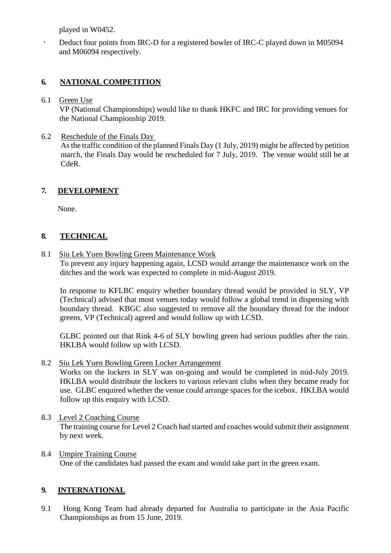played in W0452.

 Deduct four points from IRC-D for a registered bowler of IRC-C played down in M05094 and M06094 respectively.

# **6. NATIONAL COMPETITION**

## 6.1 Green Use

VP (National Championships) would like to thank HKFC and IRC for providing venues for the National Championship 2019.

## 6.2 Reschedule of the Finals Day

As the traffic condition of the planned Finals Day (1 July, 2019) might be affected by petition march, the Finals Day would be rescheduled for 7 July, 2019. The venue would still be at CdeR.

## **7. DEVELOPMENT**

None.

# **8. TECHNICAL**

8.1 Siu Lek Yuen Bowling Green Maintenance Work

To prevent any injury happening again, LCSD would arrange the maintenance work on the ditches and the work was expected to complete in mid-August 2019.

In response to KFLBC enquiry whether boundary thread would be provided in SLY, VP (Technical) advised that most venues today would follow a global trend in dispensing with boundary thread. KBGC also suggested to remove all the boundary thread for the indoor greens, VP (Technical) agreed and would follow up with LCSD.

GLBC pointed out that Rink 4-6 of SLY bowling green had serious puddles after the rain. HKLBA would follow up with LCSD.

## 8.2 Siu Lek Yuen Bowling Green Locker Arrangement

Works on the lockers in SLY was on-going and would be completed in mid-July 2019. HKLBA would distribute the lockers to various relevant clubs when they became ready for use. GLBC enquired whether the venue could arrange spaces for the icebox. HKLBA would follow up this enquiry with LCSD.

- 8.3 Level 2 Coaching Course The training course for Level 2 Coach had started and coaches would submit their assignment by next week.
- 8.4 Umpire Training Course One of the candidates had passed the exam and would take part in the green exam.

# **9. INTERNATIONAL**

9.1 Hong Kong Team had already departed for Australia to participate in the Asia Pacific Championships as from 15 June, 2019.